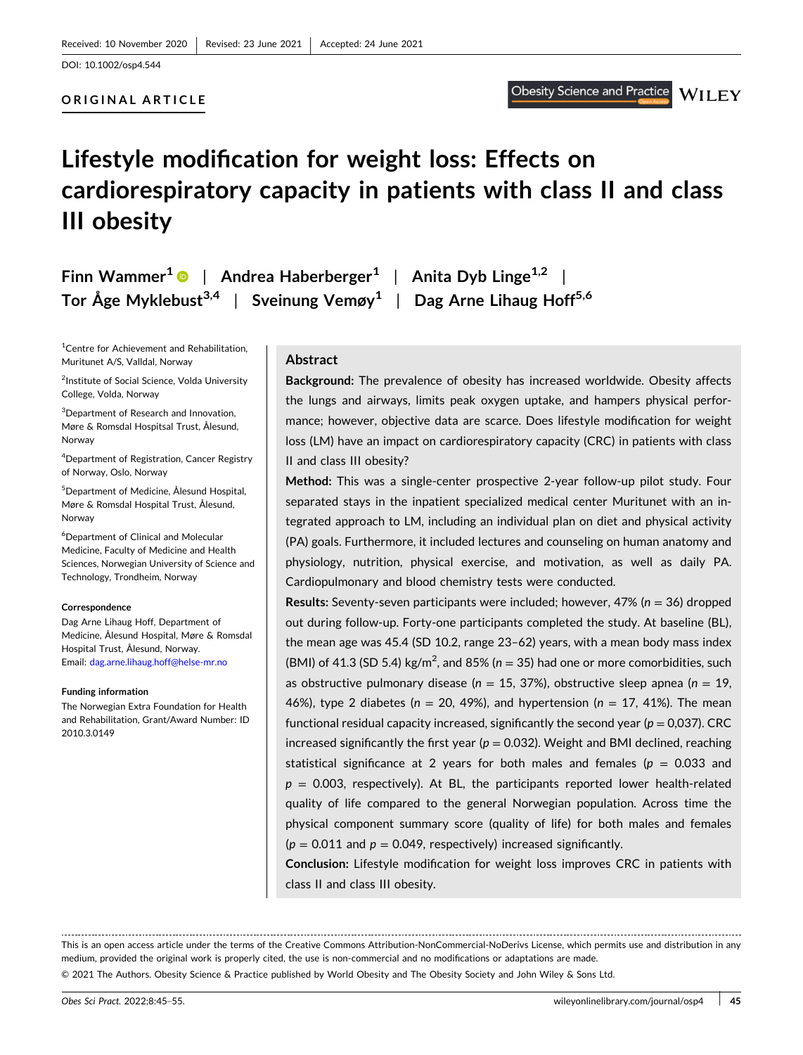#### **ORIGINAL ARTICLE**

# **WILEY**

# **Lifestyle modification for weight loss: Effects on cardiorespiratory capacity in patients with class II and class III obesity**

**Finn Wammer**<sup>1</sup> • | **Andrea Haberberger**<sup>1</sup> | **Anita** Dyb Linge<sup>1,2</sup> **Tor Åge Myklebust3,4** | **Sveinung Vemøy1** | **Dag Arne Lihaug Hoff5,6**

<sup>1</sup> Centre for Achievement and Rehabilitation, Muritunet A/S, Valldal, Norway

2 Institute of Social Science, Volda University College, Volda, Norway

3 Department of Research and Innovation, Møre & Romsdal Hospitsal Trust, Ålesund, Norway

4 Department of Registration, Cancer Registry of Norway, Oslo, Norway

5 Department of Medicine, Ålesund Hospital, Møre & Romsdal Hospital Trust, Ålesund, Norway

6 Department of Clinical and Molecular Medicine, Faculty of Medicine and Health Sciences, Norwegian University of Science and Technology, Trondheim, Norway

#### **Correspondence**

Dag Arne Lihaug Hoff, Department of Medicine, Ålesund Hospital, Møre & Romsdal Hospital Trust, Ålesund, Norway. Email: [dag.arne.lihaug.hoff@helse-mr.no](mailto:dag.arne.lihaug.hoff@helse-mr.no)

#### **Funding information**

The Norwegian Extra Foundation for Health and Rehabilitation, Grant/Award Number: ID 2010.3.0149

#### **Abstract**

**Background:** The prevalence of obesity has increased worldwide. Obesity affects the lungs and airways, limits peak oxygen uptake, and hampers physical performance; however, objective data are scarce. Does lifestyle modification for weight loss (LM) have an impact on cardiorespiratory capacity (CRC) in patients with class II and class III obesity?

**Method:** This was a single‐center prospective 2‐year follow‐up pilot study. Four separated stays in the inpatient specialized medical center Muritunet with an integrated approach to LM, including an individual plan on diet and physical activity (PA) goals. Furthermore, it included lectures and counseling on human anatomy and physiology, nutrition, physical exercise, and motivation, as well as daily PA. Cardiopulmonary and blood chemistry tests were conducted.

**Results:** Seventy‐seven participants were included; however, 47% (*n* = 36) dropped out during follow-up. Forty-one participants completed the study. At baseline (BL), the mean age was 45.4 (SD 10.2, range 23–62) years, with a mean body mass index (BMI) of 41.3 (SD 5.4)  $\text{kg/m}^2$ , and 85% ( $n = 35$ ) had one or more comorbidities, such as obstructive pulmonary disease (*n* = 15, 37%), obstructive sleep apnea (*n* = 19, 46%), type 2 diabetes (*n* = 20, 49%), and hypertension (*n* = 17, 41%). The mean functional residual capacity increased, significantly the second year ( $p = 0.037$ ). CRC increased significantly the first year ( $p = 0.032$ ). Weight and BMI declined, reaching statistical significance at 2 years for both males and females ( $p = 0.033$  and  $p = 0.003$ , respectively). At BL, the participants reported lower health-related quality of life compared to the general Norwegian population. Across time the physical component summary score (quality of life) for both males and females  $(p = 0.011$  and  $p = 0.049$ , respectively) increased significantly.

**Conclusion:** Lifestyle modification for weight loss improves CRC in patients with class II and class III obesity.

This is an open access article under the terms of the Creative Commons Attribution‐NonCommercial‐NoDerivs License, which permits use and distribution in any medium, provided the original work is properly cited, the use is non‐commercial and no modifications or adaptations are made.

© 2021 The Authors. Obesity Science & Practice published by World Obesity and The Obesity Society and John Wiley & Sons Ltd.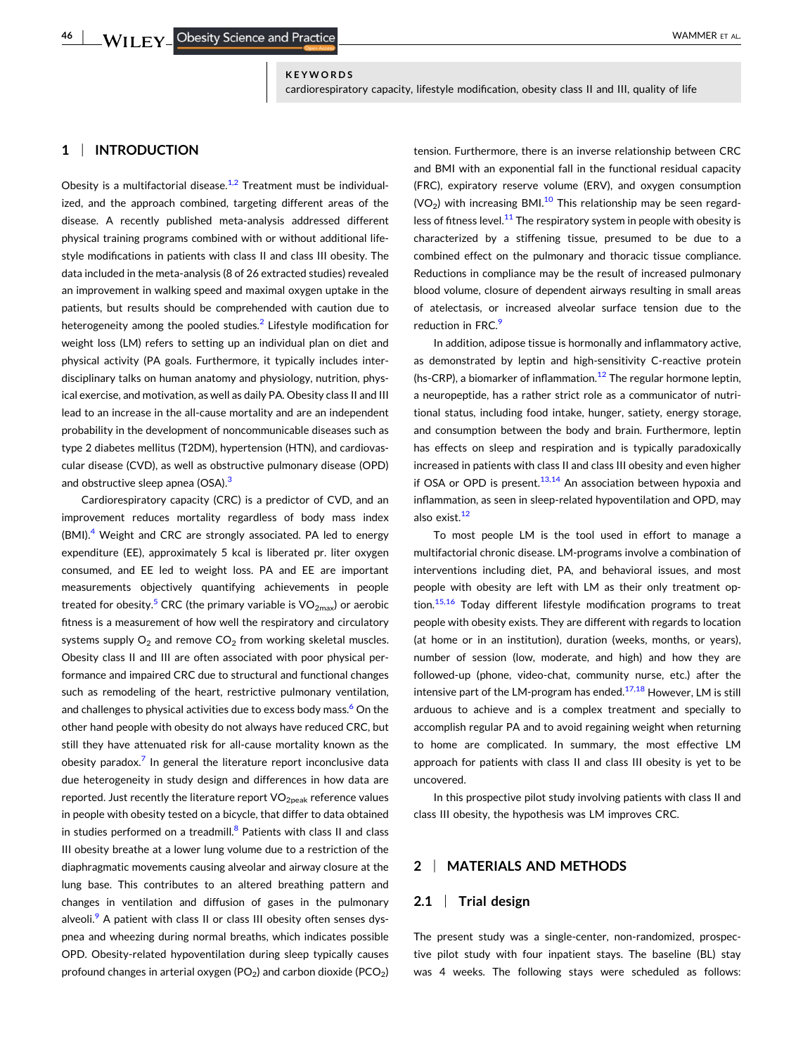#### **KEYWORDS**

cardiorespiratory capacity, lifestyle modification, obesity class II and III, quality of life

# **1** <sup>|</sup> **INTRODUCTION**

Obesity is a multifactorial disease. $1/2$  Treatment must be individualized, and the approach combined, targeting different areas of the disease. A recently published meta‐analysis addressed different physical training programs combined with or without additional lifestyle modifications in patients with class II and class III obesity. The data included in the meta‐analysis (8 of 26 extracted studies) revealed an improvement in walking speed and maximal oxygen uptake in the patients, but results should be comprehended with caution due to heterogeneity among the pooled studies.<sup>[2](#page-9-0)</sup> Lifestyle modification for weight loss (LM) refers to setting up an individual plan on diet and physical activity (PA goals. Furthermore, it typically includes interdisciplinary talks on human anatomy and physiology, nutrition, physical exercise, and motivation, as well as daily PA. Obesity class II and III lead to an increase in the all‐cause mortality and are an independent probability in the development of noncommunicable diseases such as type 2 diabetes mellitus (T2DM), hypertension (HTN), and cardiovascular disease (CVD), as well as obstructive pulmonary disease (OPD) and obstructive sleep apnea (OSA).<sup>[3](#page-9-0)</sup>

Cardiorespiratory capacity (CRC) is a predictor of CVD, and an improvement reduces mortality regardless of body mass index (BMI).<sup>[4](#page-9-0)</sup> Weight and CRC are strongly associated. PA led to energy expenditure (EE), approximately 5 kcal is liberated pr. liter oxygen consumed, and EE led to weight loss. PA and EE are important measurements objectively quantifying achievements in people treated for obesity.<sup>[5](#page-9-0)</sup> CRC (the primary variable is  $VO_{2max}$ ) or aerobic fitness is a measurement of how well the respiratory and circulatory systems supply  $O_2$  and remove  $CO_2$  from working skeletal muscles. Obesity class II and III are often associated with poor physical performance and impaired CRC due to structural and functional changes such as remodeling of the heart, restrictive pulmonary ventilation, and challenges to physical activities due to excess body mass.<sup>[6](#page-9-0)</sup> On the other hand people with obesity do not always have reduced CRC, but still they have attenuated risk for all-cause mortality known as the obesity paradox. $7$  In general the literature report inconclusive data due heterogeneity in study design and differences in how data are reported. Just recently the literature report  $VO<sub>2peak</sub>$  reference values in people with obesity tested on a bicycle, that differ to data obtained in studies performed on a treadmill. $8$  Patients with class II and class III obesity breathe at a lower lung volume due to a restriction of the diaphragmatic movements causing alveolar and airway closure at the lung base. This contributes to an altered breathing pattern and changes in ventilation and diffusion of gases in the pulmonary alveoli.<sup>[9](#page-9-0)</sup> A patient with class II or class III obesity often senses dyspnea and wheezing during normal breaths, which indicates possible OPD. Obesity‐related hypoventilation during sleep typically causes profound changes in arterial oxygen (PO<sub>2</sub>) and carbon dioxide (PCO<sub>2</sub>)

tension. Furthermore, there is an inverse relationship between CRC and BMI with an exponential fall in the functional residual capacity (FRC), expiratory reserve volume (ERV), and oxygen consumption  $(VO<sub>2</sub>)$  with increasing BMI.<sup>10</sup> This relationship may be seen regard-less of fitness level.<sup>[11](#page-9-0)</sup> The respiratory system in people with obesity is characterized by a stiffening tissue, presumed to be due to a combined effect on the pulmonary and thoracic tissue compliance. Reductions in compliance may be the result of increased pulmonary blood volume, closure of dependent airways resulting in small areas of atelectasis, or increased alveolar surface tension due to the reduction in FRC.<sup>9</sup>

In addition, adipose tissue is hormonally and inflammatory active, as demonstrated by leptin and high‐sensitivity C‐reactive protein (hs-CRP), a biomarker of inflammation.<sup>[12](#page-9-0)</sup> The regular hormone leptin, a neuropeptide, has a rather strict role as a communicator of nutritional status, including food intake, hunger, satiety, energy storage, and consumption between the body and brain. Furthermore, leptin has effects on sleep and respiration and is typically paradoxically increased in patients with class II and class III obesity and even higher if OSA or OPD is present. $13,14$  An association between hypoxia and inflammation, as seen in sleep-related hypoventilation and OPD, may also exist.<sup>[12](#page-9-0)</sup>

To most people LM is the tool used in effort to manage a multifactorial chronic disease. LM‐programs involve a combination of interventions including diet, PA, and behavioral issues, and most people with obesity are left with LM as their only treatment option.<sup>15,16</sup> Today different lifestyle modification programs to treat people with obesity exists. They are different with regards to location (at home or in an institution), duration (weeks, months, or years), number of session (low, moderate, and high) and how they are followed‐up (phone, video‐chat, community nurse, etc.) after the intensive part of the LM-program has ended. $17,18$  However, LM is still arduous to achieve and is a complex treatment and specially to accomplish regular PA and to avoid regaining weight when returning to home are complicated. In summary, the most effective LM approach for patients with class II and class III obesity is yet to be uncovered.

In this prospective pilot study involving patients with class II and class III obesity, the hypothesis was LM improves CRC.

## **2** <sup>|</sup> **MATERIALS AND METHODS**

## **2.1** <sup>|</sup> **Trial design**

The present study was a single-center, non-randomized, prospective pilot study with four inpatient stays. The baseline (BL) stay was 4 weeks. The following stays were scheduled as follows: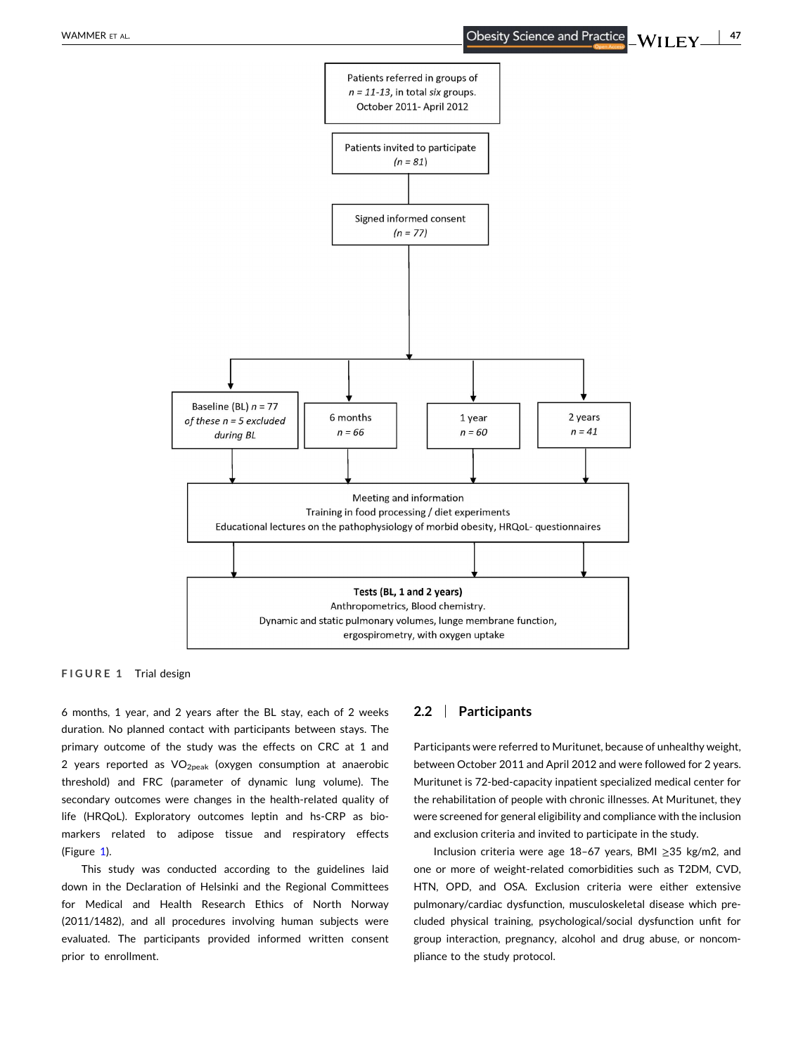<span id="page-2-0"></span>

**FIGURE 1** Trial design

6 months, 1 year, and 2 years after the BL stay, each of 2 weeks duration. No planned contact with participants between stays. The primary outcome of the study was the effects on CRC at 1 and 2 years reported as  $VO<sub>2peak</sub>$  (oxygen consumption at anaerobic threshold) and FRC (parameter of dynamic lung volume). The secondary outcomes were changes in the health-related quality of life (HRQoL). Exploratory outcomes leptin and hs‐CRP as biomarkers related to adipose tissue and respiratory effects (Figure 1).

This study was conducted according to the guidelines laid down in the Declaration of Helsinki and the Regional Committees for Medical and Health Research Ethics of North Norway (2011/1482), and all procedures involving human subjects were evaluated. The participants provided informed written consent prior to enrollment.

## **2.2** <sup>|</sup> **Participants**

Participants were referred to Muritunet, because of unhealthy weight, between October 2011 and April 2012 and were followed for 2 years. Muritunet is 72‐bed‐capacity inpatient specialized medical center for the rehabilitation of people with chronic illnesses. At Muritunet, they were screened for general eligibility and compliance with the inclusion and exclusion criteria and invited to participate in the study.

Inclusion criteria were age 18–67 years, BMI ≥35 kg/m2, and one or more of weight‐related comorbidities such as T2DM, CVD, HTN, OPD, and OSA. Exclusion criteria were either extensive pulmonary/cardiac dysfunction, musculoskeletal disease which precluded physical training, psychological/social dysfunction unfit for group interaction, pregnancy, alcohol and drug abuse, or noncompliance to the study protocol.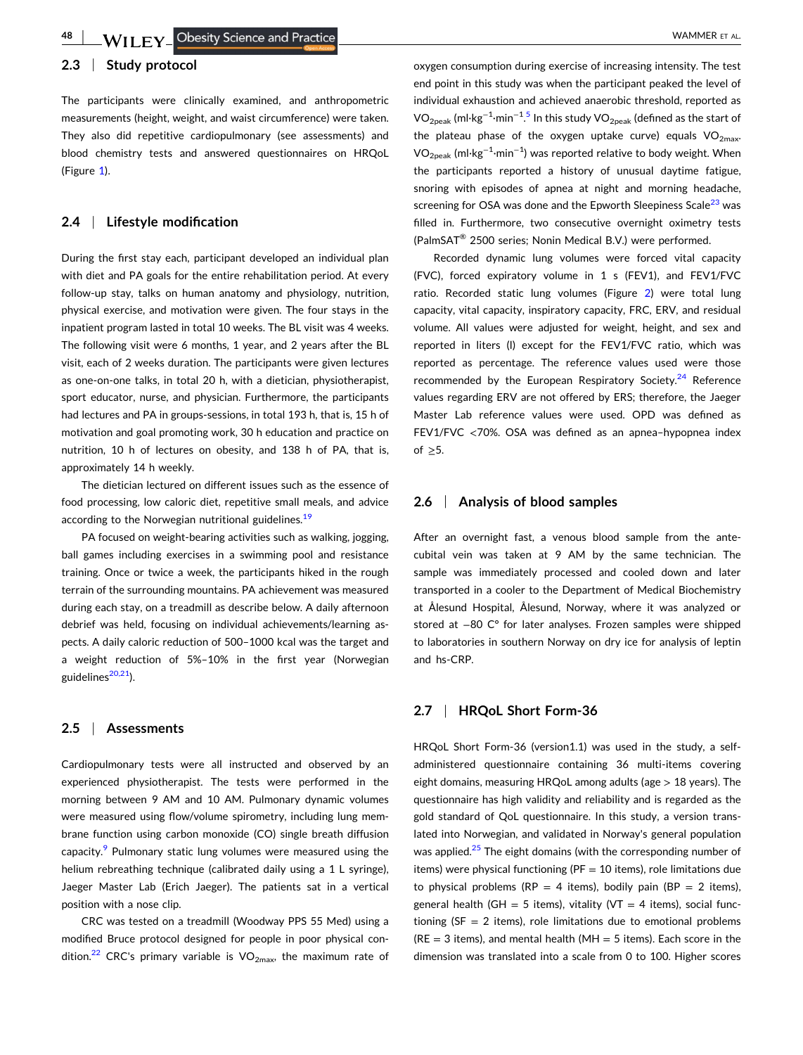## **2.3** <sup>|</sup> **Study protocol**

The participants were clinically examined, and anthropometric measurements (height, weight, and waist circumference) were taken. They also did repetitive cardiopulmonary (see assessments) and blood chemistry tests and answered questionnaires on HRQoL (Figure [1\)](#page-2-0).

## **2.4** <sup>|</sup> **Lifestyle modification**

During the first stay each, participant developed an individual plan with diet and PA goals for the entire rehabilitation period. At every follow‐up stay, talks on human anatomy and physiology, nutrition, physical exercise, and motivation were given. The four stays in the inpatient program lasted in total 10 weeks. The BL visit was 4 weeks. The following visit were 6 months, 1 year, and 2 years after the BL visit, each of 2 weeks duration. The participants were given lectures as one‐on‐one talks, in total 20 h, with a dietician, physiotherapist, sport educator, nurse, and physician. Furthermore, the participants had lectures and PA in groups-sessions, in total 193 h, that is, 15 h of motivation and goal promoting work, 30 h education and practice on nutrition, 10 h of lectures on obesity, and 138 h of PA, that is, approximately 14 h weekly.

The dietician lectured on different issues such as the essence of food processing, low caloric diet, repetitive small meals, and advice according to the Norwegian nutritional guidelines.<sup>[19](#page-10-0)</sup>

PA focused on weight‐bearing activities such as walking, jogging, ball games including exercises in a swimming pool and resistance training. Once or twice a week, the participants hiked in the rough terrain of the surrounding mountains. PA achievement was measured during each stay, on a treadmill as describe below. A daily afternoon debrief was held, focusing on individual achievements/learning aspects. A daily caloric reduction of 500–1000 kcal was the target and a weight reduction of 5%–10% in the first year (Norwegian guidelines<sup>[20,21](#page-10-0)</sup>).

#### **2.5** <sup>|</sup> **Assessments**

Cardiopulmonary tests were all instructed and observed by an experienced physiotherapist. The tests were performed in the morning between 9 AM and 10 AM. Pulmonary dynamic volumes were measured using flow/volume spirometry, including lung membrane function using carbon monoxide (CO) single breath diffusion capacity.<sup>[9](#page-9-0)</sup> Pulmonary static lung volumes were measured using the helium rebreathing technique (calibrated daily using a 1 L syringe), Jaeger Master Lab (Erich Jaeger). The patients sat in a vertical position with a nose clip.

CRC was tested on a treadmill (Woodway PPS 55 Med) using a modified Bruce protocol designed for people in poor physical con-dition.<sup>[22](#page-10-0)</sup> CRC's primary variable is  $VO<sub>2max</sub>$ , the maximum rate of oxygen consumption during exercise of increasing intensity. The test end point in this study was when the participant peaked the level of individual exhaustion and achieved anaerobic threshold, reported as VO<sub>2peak</sub> (ml·kg<sup>-1</sup>·min<sup>-1.[5](#page-9-0)</sup> In this study VO<sub>2peak</sub> (defined as the start of the plateau phase of the oxygen uptake curve) equals  $VO<sub>2max</sub>$ .  $\rm VO_{2peak}$  (ml $\cdot$ kg $^{-1}\cdot$ min $^{-1}$ ) was reported relative to body weight. When the participants reported a history of unusual daytime fatigue, snoring with episodes of apnea at night and morning headache, screening for OSA was done and the Epworth Sleepiness Scale<sup>[23](#page-10-0)</sup> was filled in. Furthermore, two consecutive overnight oximetry tests (PalmSAT® 2500 series; Nonin Medical B.V.) were performed.

Recorded dynamic lung volumes were forced vital capacity (FVC), forced expiratory volume in 1 s (FEV1), and FEV1/FVC ratio. Recorded static lung volumes (Figure [2\)](#page-4-0) were total lung capacity, vital capacity, inspiratory capacity, FRC, ERV, and residual volume. All values were adjusted for weight, height, and sex and reported in liters (l) except for the FEV1/FVC ratio, which was reported as percentage. The reference values used were those recommended by the European Respiratory Society. $24$  Reference values regarding ERV are not offered by ERS; therefore, the Jaeger Master Lab reference values were used. OPD was defined as FEV1/FVC <70%. OSA was defined as an apnea–hypopnea index of  $\geq$ 5.

#### **2.6** <sup>|</sup> **Analysis of blood samples**

After an overnight fast, a venous blood sample from the antecubital vein was taken at 9 AM by the same technician. The sample was immediately processed and cooled down and later transported in a cooler to the Department of Medical Biochemistry at Ålesund Hospital, Ålesund, Norway, where it was analyzed or stored at −80 C° for later analyses. Frozen samples were shipped to laboratories in southern Norway on dry ice for analysis of leptin and hs‐CRP.

## **2.7** <sup>|</sup> **HRQoL Short Form‐36**

HRQoL Short Form-36 (version1.1) was used in the study, a selfadministered questionnaire containing 36 multi‐items covering eight domains, measuring HRQoL among adults (age > 18 years). The questionnaire has high validity and reliability and is regarded as the gold standard of QoL questionnaire. In this study, a version translated into Norwegian, and validated in Norway's general population was applied.<sup>[25](#page-10-0)</sup> The eight domains (with the corresponding number of items) were physical functioning ( $PF = 10$  items), role limitations due to physical problems (RP = 4 items), bodily pain (BP = 2 items), general health (GH = 5 items), vitality (VT = 4 items), social functioning ( $SF = 2$  items), role limitations due to emotional problems  $(RE = 3$  items), and mental health  $(MH = 5$  items). Each score in the dimension was translated into a scale from 0 to 100. Higher scores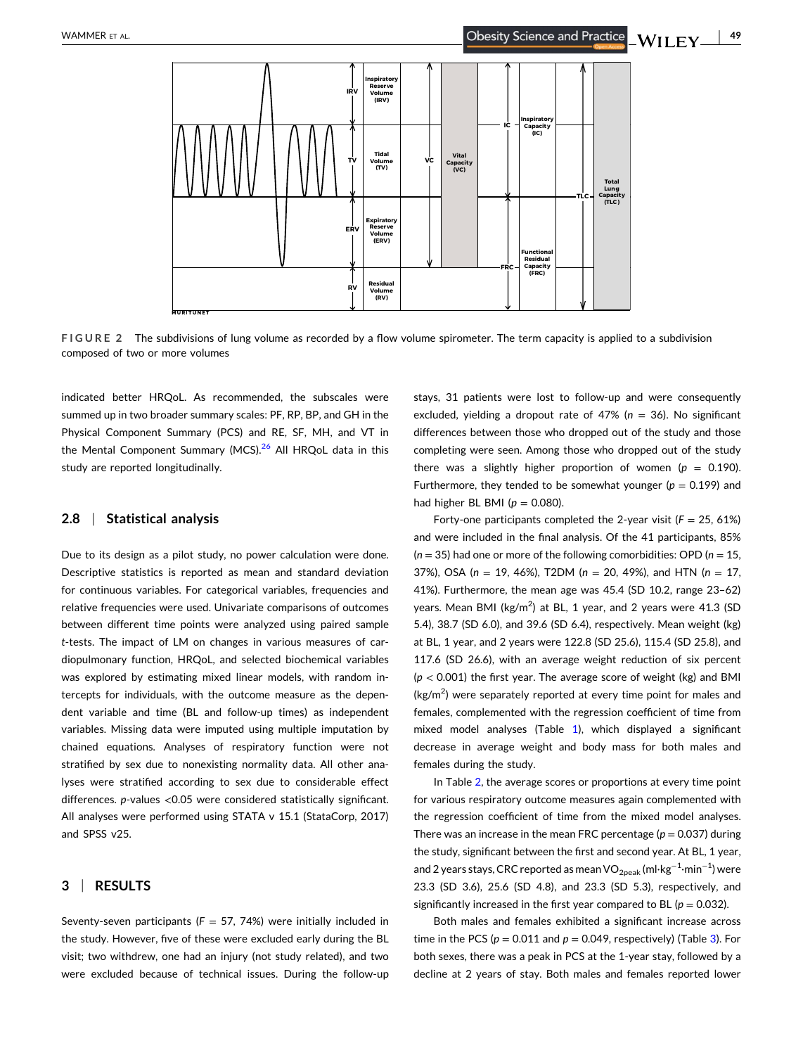<span id="page-4-0"></span>

**FIGURE 2** The subdivisions of lung volume as recorded by a flow volume spirometer. The term capacity is applied to a subdivision composed of two or more volumes

indicated better HRQoL. As recommended, the subscales were summed up in two broader summary scales: PF, RP, BP, and GH in the Physical Component Summary (PCS) and RE, SF, MH, and VT in the Mental Component Summary (MCS).<sup>[26](#page-10-0)</sup> All HRQoL data in this study are reported longitudinally.

#### **2.8** <sup>|</sup> **Statistical analysis**

Due to its design as a pilot study, no power calculation were done. Descriptive statistics is reported as mean and standard deviation for continuous variables. For categorical variables, frequencies and relative frequencies were used. Univariate comparisons of outcomes between different time points were analyzed using paired sample *t*‐tests. The impact of LM on changes in various measures of cardiopulmonary function, HRQoL, and selected biochemical variables was explored by estimating mixed linear models, with random intercepts for individuals, with the outcome measure as the dependent variable and time (BL and follow‐up times) as independent variables. Missing data were imputed using multiple imputation by chained equations. Analyses of respiratory function were not stratified by sex due to nonexisting normality data. All other analyses were stratified according to sex due to considerable effect differences. *p*-values <0.05 were considered statistically significant. All analyses were performed using STATA v 15.1 (StataCorp, 2017) and SPSS v25.

#### **3** <sup>|</sup> **RESULTS**

Seventy-seven participants ( $F = 57, 74%$ ) were initially included in the study. However, five of these were excluded early during the BL visit; two withdrew, one had an injury (not study related), and two were excluded because of technical issues. During the follow‐up

stays, 31 patients were lost to follow-up and were consequently excluded, yielding a dropout rate of 47% (*n* = 36). No significant differences between those who dropped out of the study and those completing were seen. Among those who dropped out of the study there was a slightly higher proportion of women ( $p = 0.190$ ). Furthermore, they tended to be somewhat younger ( $p = 0.199$ ) and had higher BL BMI ( $p = 0.080$ ).

Forty-one participants completed the 2-year visit  $(F = 25, 61%)$ and were included in the final analysis. Of the 41 participants, 85% (*n* = 35) had one or more of the following comorbidities: OPD (*n* = 15, 37%), OSA (*n* = 19, 46%), T2DM (*n* = 20, 49%), and HTN (*n* = 17, 41%). Furthermore, the mean age was 45.4 (SD 10.2, range 23–62) years. Mean BMI (kg/m<sup>2</sup>) at BL, 1 year, and 2 years were 41.3 (SD 5.4), 38.7 (SD 6.0), and 39.6 (SD 6.4), respectively. Mean weight (kg) at BL, 1 year, and 2 years were 122.8 (SD 25.6), 115.4 (SD 25.8), and 117.6 (SD 26.6), with an average weight reduction of six percent  $(p < 0.001)$  the first year. The average score of weight (kg) and BMI  $(kg/m<sup>2</sup>)$  were separately reported at every time point for males and females, complemented with the regression coefficient of time from mixed model analyses (Table [1\)](#page-5-0), which displayed a significant decrease in average weight and body mass for both males and females during the study.

In Table [2,](#page-6-0) the average scores or proportions at every time point for various respiratory outcome measures again complemented with the regression coefficient of time from the mixed model analyses. There was an increase in the mean FRC percentage ( $p = 0.037$ ) during the study, significant between the first and second year. At BL, 1 year, and 2 years stays, CRC reported as mean VO<sub>2peak</sub> (ml·kg<sup>−1</sup>·min<sup>−1</sup>) were 23.3 (SD 3.6), 25.6 (SD 4.8), and 23.3 (SD 5.3), respectively, and significantly increased in the first year compared to BL ( $p = 0.032$ ).

Both males and females exhibited a significant increase across time in the PCS ( $p = 0.011$  and  $p = 0.049$ , respectively) (Table [3](#page-7-0)). For both sexes, there was a peak in PCS at the 1‐year stay, followed by a decline at 2 years of stay. Both males and females reported lower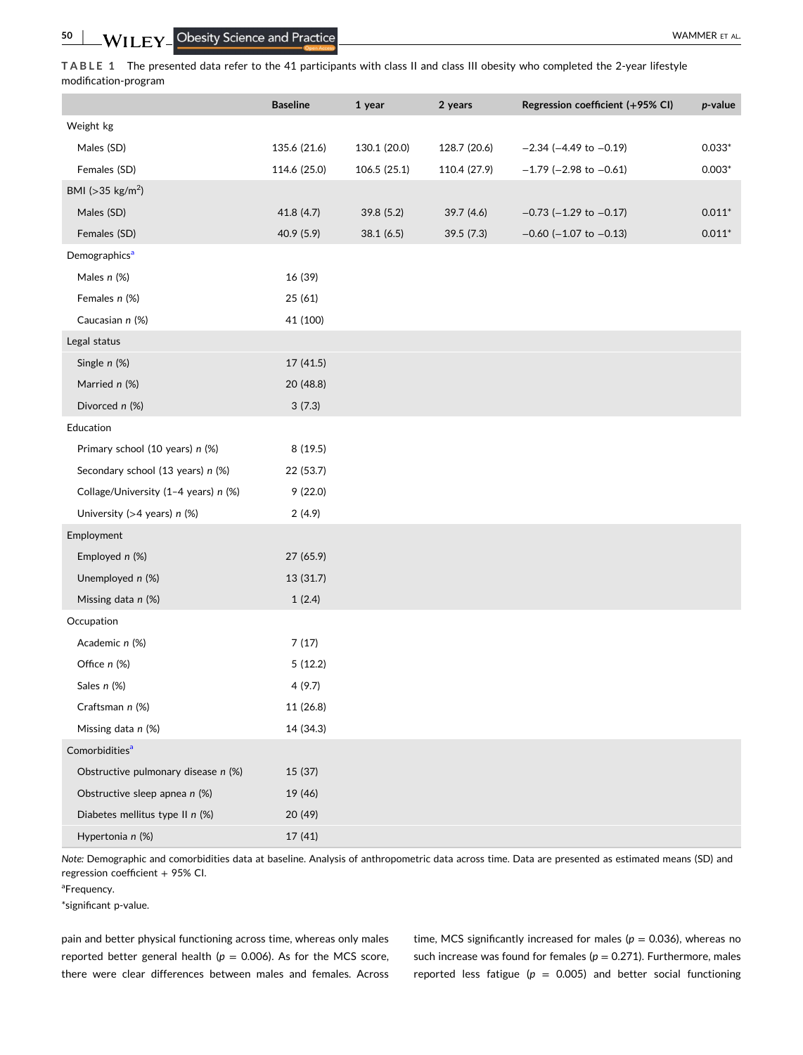<span id="page-5-0"></span>**TABLE 1** The presented data refer to the 41 participants with class II and class III obesity who completed the 2‐year lifestyle modification‐program

|                                      | <b>Baseline</b> | 1 year       | 2 years      | Regression coefficient (+95% CI) | $p$ -value |
|--------------------------------------|-----------------|--------------|--------------|----------------------------------|------------|
| Weight kg                            |                 |              |              |                                  |            |
| Males (SD)                           | 135.6 (21.6)    | 130.1 (20.0) | 128.7 (20.6) | $-2.34$ ( $-4.49$ to $-0.19$ )   | $0.033*$   |
| Females (SD)                         | 114.6 (25.0)    | 106.5 (25.1) | 110.4 (27.9) | $-1.79$ (-2.98 to $-0.61$ )      | $0.003*$   |
| BMI ( $>35$ kg/m <sup>2</sup> )      |                 |              |              |                                  |            |
| Males (SD)                           | 41.8 (4.7)      | 39.8 (5.2)   | 39.7 (4.6)   | $-0.73$ ( $-1.29$ to $-0.17$ )   | $0.011*$   |
| Females (SD)                         | 40.9 (5.9)      | 38.1(6.5)    | 39.5 (7.3)   | $-0.60$ ( $-1.07$ to $-0.13$ )   | $0.011*$   |
| Demographics <sup>a</sup>            |                 |              |              |                                  |            |
| Males n (%)                          | 16 (39)         |              |              |                                  |            |
| Females n (%)                        | 25 (61)         |              |              |                                  |            |
| Caucasian n (%)                      | 41 (100)        |              |              |                                  |            |
| Legal status                         |                 |              |              |                                  |            |
| Single n (%)                         | 17 (41.5)       |              |              |                                  |            |
| Married n (%)                        | 20 (48.8)       |              |              |                                  |            |
| Divorced n (%)                       | 3(7.3)          |              |              |                                  |            |
| Education                            |                 |              |              |                                  |            |
| Primary school (10 years) n (%)      | 8(19.5)         |              |              |                                  |            |
| Secondary school (13 years) n (%)    | 22 (53.7)       |              |              |                                  |            |
| Collage/University (1-4 years) n (%) | 9(22.0)         |              |              |                                  |            |
| University ( $>4$ years) n (%)       | 2(4.9)          |              |              |                                  |            |
| Employment                           |                 |              |              |                                  |            |
| Employed n (%)                       | 27 (65.9)       |              |              |                                  |            |
| Unemployed n (%)                     | 13 (31.7)       |              |              |                                  |            |
| Missing data n (%)                   | 1(2.4)          |              |              |                                  |            |
| Occupation                           |                 |              |              |                                  |            |
| Academic n (%)                       | 7(17)           |              |              |                                  |            |
| Office n (%)                         | 5(12.2)         |              |              |                                  |            |
| Sales n (%)                          | 4(9.7)          |              |              |                                  |            |
| Craftsman n (%)                      | 11 (26.8)       |              |              |                                  |            |
| Missing data n (%)                   | 14 (34.3)       |              |              |                                  |            |
| Comorbidities <sup>a</sup>           |                 |              |              |                                  |            |
| Obstructive pulmonary disease n (%)  | 15 (37)         |              |              |                                  |            |
| Obstructive sleep apnea n (%)        | 19 (46)         |              |              |                                  |            |
| Diabetes mellitus type II n (%)      | 20 (49)         |              |              |                                  |            |
| Hypertonia n (%)                     | 17 (41)         |              |              |                                  |            |

*Note:* Demographic and comorbidities data at baseline. Analysis of anthropometric data across time. Data are presented as estimated means (SD) and regression coefficient + 95% CI.

<sup>a</sup>Frequency.

\*significant p‐value.

pain and better physical functioning across time, whereas only males reported better general health ( $p = 0.006$ ). As for the MCS score, there were clear differences between males and females. Across time, MCS significantly increased for males ( $p = 0.036$ ), whereas no such increase was found for females ( $p = 0.271$ ). Furthermore, males reported less fatigue ( $p = 0.005$ ) and better social functioning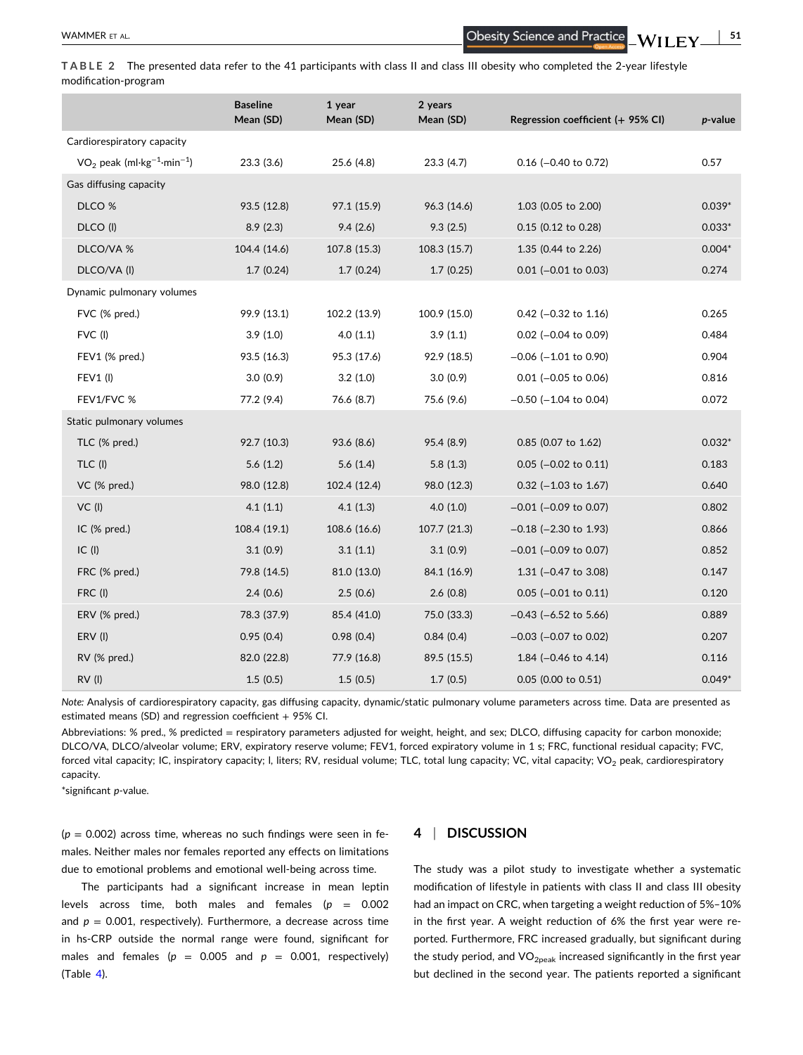- **51**

<span id="page-6-0"></span>**TABLE 2** The presented data refer to the 41 participants with class II and class III obesity who completed the 2‐year lifestyle modification‐program

|                                                      | <b>Baseline</b><br>Mean (SD) | 1 year<br>Mean (SD) | 2 years<br>Mean (SD) | Regression coefficient (+ 95% CI) | p-value  |
|------------------------------------------------------|------------------------------|---------------------|----------------------|-----------------------------------|----------|
| Cardiorespiratory capacity                           |                              |                     |                      |                                   |          |
| $VO2$ peak (ml·kg <sup>-1</sup> ·min <sup>-1</sup> ) | 23.3(3.6)                    | 25.6 (4.8)          | 23.3(4.7)            | $0.16$ (-0.40 to 0.72)            | 0.57     |
| Gas diffusing capacity                               |                              |                     |                      |                                   |          |
| DLCO %                                               | 93.5 (12.8)                  | 97.1 (15.9)         | 96.3 (14.6)          | 1.03 (0.05 to 2.00)               | $0.039*$ |
| DLCO (I)                                             | 8.9(2.3)                     | 9.4(2.6)            | 9.3(2.5)             | 0.15 (0.12 to 0.28)               | $0.033*$ |
| DLCO/VA %                                            | 104.4 (14.6)                 | 107.8 (15.3)        | 108.3 (15.7)         | 1.35 (0.44 to 2.26)               | $0.004*$ |
| DLCO/VA (I)                                          | 1.7(0.24)                    | 1.7(0.24)           | 1.7(0.25)            | $0.01$ (-0.01 to 0.03)            | 0.274    |
| Dynamic pulmonary volumes                            |                              |                     |                      |                                   |          |
| FVC (% pred.)                                        | 99.9 (13.1)                  | 102.2 (13.9)        | 100.9 (15.0)         | $0.42$ (-0.32 to 1.16)            | 0.265    |
| FVC (I)                                              | 3.9(1.0)                     | 4.0(1.1)            | 3.9(1.1)             | $0.02$ (-0.04 to 0.09)            | 0.484    |
| FEV1 (% pred.)                                       | 93.5 (16.3)                  | 95.3 (17.6)         | 92.9 (18.5)          | $-0.06$ ( $-1.01$ to 0.90)        | 0.904    |
| <b>FEV1 (I)</b>                                      | 3.0(0.9)                     | 3.2(1.0)            | 3.0(0.9)             | $0.01$ (-0.05 to 0.06)            | 0.816    |
| FEV1/FVC %                                           | 77.2 (9.4)                   | 76.6 (8.7)          | 75.6 (9.6)           | $-0.50$ ( $-1.04$ to 0.04)        | 0.072    |
| Static pulmonary volumes                             |                              |                     |                      |                                   |          |
| TLC (% pred.)                                        | 92.7 (10.3)                  | 93.6 (8.6)          | 95.4 (8.9)           | 0.85 (0.07 to 1.62)               | $0.032*$ |
| TLC (I)                                              | 5.6(1.2)                     | 5.6(1.4)            | 5.8(1.3)             | $0.05$ (-0.02 to 0.11)            | 0.183    |
| VC (% pred.)                                         | 98.0 (12.8)                  | 102.4 (12.4)        | 98.0 (12.3)          | $0.32$ (-1.03 to 1.67)            | 0.640    |
| $VC$ (I)                                             | 4.1(1.1)                     | 4.1(1.3)            | 4.0(1.0)             | $-0.01$ ( $-0.09$ to 0.07)        | 0.802    |
| IC (% pred.)                                         | 108.4 (19.1)                 | 108.6 (16.6)        | 107.7 (21.3)         | $-0.18$ ( $-2.30$ to 1.93)        | 0.866    |
| $IC$ (I)                                             | 3.1(0.9)                     | 3.1(1.1)            | 3.1(0.9)             | $-0.01$ ( $-0.09$ to 0.07)        | 0.852    |
| FRC (% pred.)                                        | 79.8 (14.5)                  | 81.0 (13.0)         | 84.1 (16.9)          | 1.31 ( $-0.47$ to 3.08)           | 0.147    |
| FRC (I)                                              | 2.4(0.6)                     | 2.5(0.6)            | 2.6(0.8)             | $0.05$ (-0.01 to 0.11)            | 0.120    |
| ERV (% pred.)                                        | 78.3 (37.9)                  | 85.4 (41.0)         | 75.0 (33.3)          | $-0.43$ ( $-6.52$ to 5.66)        | 0.889    |
| ERV (I)                                              | 0.95(0.4)                    | 0.98(0.4)           | 0.84(0.4)            | $-0.03$ ( $-0.07$ to 0.02)        | 0.207    |
| RV (% pred.)                                         | 82.0 (22.8)                  | 77.9 (16.8)         | 89.5 (15.5)          | 1.84 (-0.46 to 4.14)              | 0.116    |
| RV(I)                                                | 1.5(0.5)                     | 1.5(0.5)            | 1.7(0.5)             | 0.05 (0.00 to 0.51)               | $0.049*$ |

*Note:* Analysis of cardiorespiratory capacity, gas diffusing capacity, dynamic/static pulmonary volume parameters across time. Data are presented as estimated means (SD) and regression coefficient  $+$  95% CI.

Abbreviations: % pred., % predicted = respiratory parameters adjusted for weight, height, and sex; DLCO, diffusing capacity for carbon monoxide; DLCO/VA, DLCO/alveolar volume; ERV, expiratory reserve volume; FEV1, forced expiratory volume in 1 s; FRC, functional residual capacity; FVC, forced vital capacity; IC, inspiratory capacity; I, liters; RV, residual volume; TLC, total lung capacity; VC, vital capacity; VO<sub>2</sub> peak, cardiorespiratory capacity.

\*significant *p*‐value.

 $(p = 0.002)$  across time, whereas no such findings were seen in females. Neither males nor females reported any effects on limitations due to emotional problems and emotional well‐being across time.

The participants had a significant increase in mean leptin levels across time, both males and females  $(p = 0.002)$ and  $p = 0.001$ , respectively). Furthermore, a decrease across time in hs‐CRP outside the normal range were found, significant for males and females ( $p = 0.005$  and  $p = 0.001$ , respectively)  $(Table 4)$  $(Table 4)$ .

## **4** <sup>|</sup> **DISCUSSION**

The study was a pilot study to investigate whether a systematic modification of lifestyle in patients with class II and class III obesity had an impact on CRC, when targeting a weight reduction of 5%–10% in the first year. A weight reduction of 6% the first year were reported. Furthermore, FRC increased gradually, but significant during the study period, and  $VO_{2peak}$  increased significantly in the first year but declined in the second year. The patients reported a significant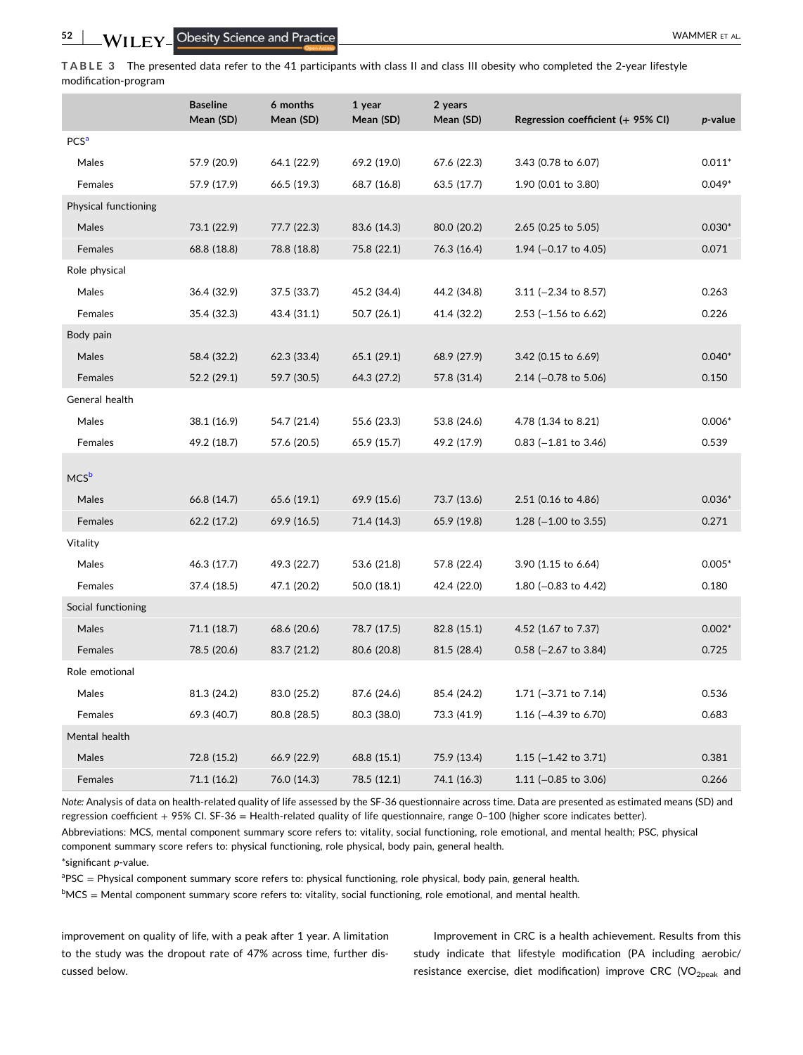<span id="page-7-0"></span>**TABLE 3** The presented data refer to the 41 participants with class II and class III obesity who completed the 2‐year lifestyle modification‐program

|                        | <b>Baseline</b><br>Mean (SD) | 6 months<br>Mean (SD) | 1 year<br>Mean (SD) | 2 years<br>Mean (SD) | Regression coefficient (+ 95% CI) | p-value  |
|------------------------|------------------------------|-----------------------|---------------------|----------------------|-----------------------------------|----------|
| <b>PCS<sup>a</sup></b> |                              |                       |                     |                      |                                   |          |
| Males                  | 57.9 (20.9)                  | 64.1 (22.9)           | 69.2 (19.0)         | 67.6 (22.3)          | 3.43 (0.78 to 6.07)               | $0.011*$ |
| Females                | 57.9 (17.9)                  | 66.5 (19.3)           | 68.7 (16.8)         | 63.5 (17.7)          | 1.90 (0.01 to 3.80)               | $0.049*$ |
| Physical functioning   |                              |                       |                     |                      |                                   |          |
| Males                  | 73.1 (22.9)                  | 77.7 (22.3)           | 83.6 (14.3)         | 80.0 (20.2)          | 2.65 (0.25 to 5.05)               | $0.030*$ |
| Females                | 68.8 (18.8)                  | 78.8 (18.8)           | 75.8 (22.1)         | 76.3 (16.4)          | 1.94 ( $-0.17$ to 4.05)           | 0.071    |
| Role physical          |                              |                       |                     |                      |                                   |          |
| Males                  | 36.4 (32.9)                  | 37.5 (33.7)           | 45.2 (34.4)         | 44.2 (34.8)          | $3.11$ (-2.34 to 8.57)            | 0.263    |
| Females                | 35.4 (32.3)                  | 43.4 (31.1)           | 50.7 (26.1)         | 41.4 (32.2)          | $2.53$ (-1.56 to 6.62)            | 0.226    |
| Body pain              |                              |                       |                     |                      |                                   |          |
| Males                  | 58.4 (32.2)                  | 62.3 (33.4)           | 65.1 (29.1)         | 68.9 (27.9)          | 3.42 (0.15 to 6.69)               | $0.040*$ |
| Females                | 52.2 (29.1)                  | 59.7 (30.5)           | 64.3 (27.2)         | 57.8 (31.4)          | $2.14$ (-0.78 to 5.06)            | 0.150    |
| General health         |                              |                       |                     |                      |                                   |          |
| Males                  | 38.1 (16.9)                  | 54.7 (21.4)           | 55.6 (23.3)         | 53.8 (24.6)          | 4.78 (1.34 to 8.21)               | $0.006*$ |
| Females                | 49.2 (18.7)                  | 57.6 (20.5)           | 65.9 (15.7)         | 49.2 (17.9)          | $0.83$ (-1.81 to 3.46)            | 0.539    |
|                        |                              |                       |                     |                      |                                   |          |
| MCS <sup>b</sup>       |                              |                       |                     |                      |                                   |          |
| Males                  | 66.8 (14.7)                  | 65.6 (19.1)           | 69.9 (15.6)         | 73.7 (13.6)          | 2.51 (0.16 to 4.86)               | $0.036*$ |
| Females                | 62.2 (17.2)                  | 69.9 (16.5)           | 71.4 (14.3)         | 65.9 (19.8)          | 1.28 $(-1.00 \text{ to } 3.55)$   | 0.271    |
| Vitality               |                              |                       |                     |                      |                                   |          |
| Males                  | 46.3 (17.7)                  | 49.3 (22.7)           | 53.6 (21.8)         | 57.8 (22.4)          | 3.90 (1.15 to 6.64)               | $0.005*$ |
| Females                | 37.4 (18.5)                  | 47.1 (20.2)           | 50.0 (18.1)         | 42.4 (22.0)          | 1.80 ( $-0.83$ to 4.42)           | 0.180    |
| Social functioning     |                              |                       |                     |                      |                                   |          |
| Males                  | 71.1 (18.7)                  | 68.6 (20.6)           | 78.7 (17.5)         | 82.8 (15.1)          | 4.52 (1.67 to 7.37)               | $0.002*$ |
| Females                | 78.5 (20.6)                  | 83.7 (21.2)           | 80.6 (20.8)         | 81.5 (28.4)          | $0.58$ (-2.67 to 3.84)            | 0.725    |
| Role emotional         |                              |                       |                     |                      |                                   |          |
| Males                  | 81.3 (24.2)                  | 83.0 (25.2)           | 87.6 (24.6)         | 85.4 (24.2)          | 1.71 $(-3.71$ to 7.14)            | 0.536    |
| Females                | 69.3 (40.7)                  | 80.8 (28.5)           | 80.3 (38.0)         | 73.3 (41.9)          | 1.16 $(-4.39 \text{ to } 6.70)$   | 0.683    |
| Mental health          |                              |                       |                     |                      |                                   |          |
| Males                  | 72.8 (15.2)                  | 66.9 (22.9)           | 68.8 (15.1)         | 75.9 (13.4)          | 1.15 $(-1.42 \text{ to } 3.71)$   | 0.381    |
| Females                | 71.1 (16.2)                  | 76.0 (14.3)           | 78.5 (12.1)         | 74.1 (16.3)          | 1.11 ( $-0.85$ to 3.06)           | 0.266    |

*Note:* Analysis of data on health‐related quality of life assessed by the SF‐36 questionnaire across time. Data are presented as estimated means (SD) and regression coefficient + 95% CI. SF‐36 = Health‐related quality of life questionnaire, range 0–100 (higher score indicates better).

Abbreviations: MCS, mental component summary score refers to: vitality, social functioning, role emotional, and mental health; PSC, physical component summary score refers to: physical functioning, role physical, body pain, general health.

\*significant *p*‐value.

<sup>a</sup>PSC = Physical component summary score refers to: physical functioning, role physical, body pain, general health.

<sup>b</sup>MCS = Mental component summary score refers to: vitality, social functioning, role emotional, and mental health.

improvement on quality of life, with a peak after 1 year. A limitation to the study was the dropout rate of 47% across time, further discussed below.

Improvement in CRC is a health achievement. Results from this study indicate that lifestyle modification (PA including aerobic/ resistance exercise, diet modification) improve CRC (VO<sub>2peak</sub> and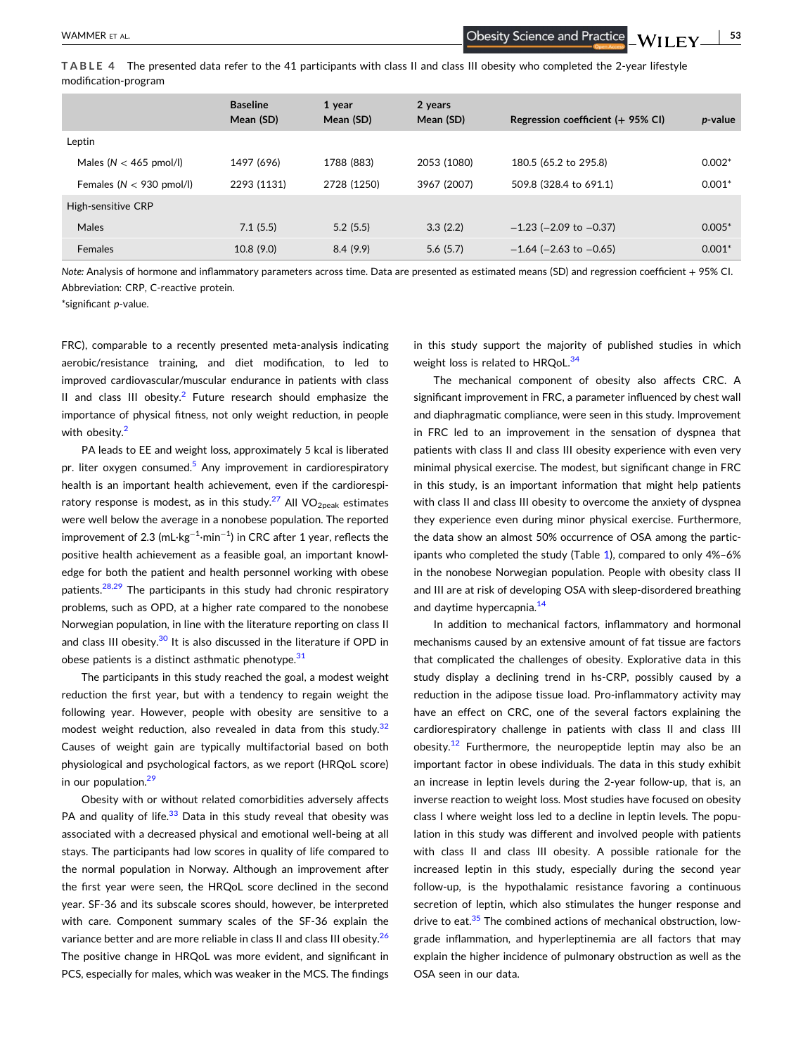- **53**

<span id="page-8-0"></span>**TABLE 4** The presented data refer to the 41 participants with class II and class III obesity who completed the 2‐year lifestyle modification‐program

|                             | <b>Baseline</b><br>Mean (SD) | 1 year<br>Mean (SD) | 2 years<br>Mean (SD) | Regression coefficient $(+ 95\%$ CI) | <i>p</i> -value |
|-----------------------------|------------------------------|---------------------|----------------------|--------------------------------------|-----------------|
| Leptin                      |                              |                     |                      |                                      |                 |
| Males ( $N < 465$ pmol/l)   | 1497 (696)                   | 1788 (883)          | 2053 (1080)          | 180.5 (65.2 to 295.8)                | $0.002*$        |
| Females ( $N < 930$ pmol/l) | 2293 (1131)                  | 2728 (1250)         | 3967 (2007)          | 509.8 (328.4 to 691.1)               | $0.001*$        |
| High-sensitive CRP          |                              |                     |                      |                                      |                 |
| Males                       | 7.1(5.5)                     | 5.2(5.5)            | 3.3(2.2)             | $-1.23$ ( $-2.09$ to $-0.37$ )       | $0.005*$        |
| <b>Females</b>              | 10.8(9.0)                    | 8.4(9.9)            | 5.6(5.7)             | $-1.64$ ( $-2.63$ to $-0.65$ )       | $0.001*$        |

*Note:* Analysis of hormone and inflammatory parameters across time. Data are presented as estimated means (SD) and regression coefficient + 95% CI. Abbreviation: CRP, C‐reactive protein.

\*significant *p*‐value.

FRC), comparable to a recently presented meta-analysis indicating aerobic/resistance training, and diet modification, to led to improved cardiovascular/muscular endurance in patients with class II and class III obesity.<sup>[2](#page-9-0)</sup> Future research should emphasize the importance of physical fitness, not only weight reduction, in people with obesity.<sup>[2](#page-9-0)</sup>

PA leads to EE and weight loss, approximately 5 kcal is liberated pr. liter oxygen consumed.<sup>5</sup> Any improvement in cardiorespiratory health is an important health achievement, even if the cardiorespi-ratory response is modest, as in this study.<sup>[27](#page-10-0)</sup> All VO<sub>2peak</sub> estimates were well below the average in a nonobese population. The reported improvement of 2.3 (mL $\cdot$ kg $^{-1}\cdot$ min $^{-1}$ ) in CRC after 1 year, reflects the positive health achievement as a feasible goal, an important knowledge for both the patient and health personnel working with obese patients.<sup>[28,29](#page-10-0)</sup> The participants in this study had chronic respiratory problems, such as OPD, at a higher rate compared to the nonobese Norwegian population, in line with the literature reporting on class II and class III obesity. $30$  It is also discussed in the literature if OPD in obese patients is a distinct asthmatic phenotype. $31$ 

The participants in this study reached the goal, a modest weight reduction the first year, but with a tendency to regain weight the following year. However, people with obesity are sensitive to a modest weight reduction, also revealed in data from this study. $32$ Causes of weight gain are typically multifactorial based on both physiological and psychological factors, as we report (HRQoL score) in our population.<sup>[29](#page-10-0)</sup>

Obesity with or without related comorbidities adversely affects PA and quality of life. $33$  Data in this study reveal that obesity was associated with a decreased physical and emotional well‐being at all stays. The participants had low scores in quality of life compared to the normal population in Norway. Although an improvement after the first year were seen, the HRQoL score declined in the second year. SF‐36 and its subscale scores should, however, be interpreted with care. Component summary scales of the SF‐36 explain the variance better and are more reliable in class II and class III obesity.<sup>26</sup> The positive change in HRQoL was more evident, and significant in PCS, especially for males, which was weaker in the MCS. The findings

in this study support the majority of published studies in which weight loss is related to HRQoL.<sup>[34](#page-10-0)</sup>

The mechanical component of obesity also affects CRC. A significant improvement in FRC, a parameter influenced by chest wall and diaphragmatic compliance, were seen in this study. Improvement in FRC led to an improvement in the sensation of dyspnea that patients with class II and class III obesity experience with even very minimal physical exercise. The modest, but significant change in FRC in this study, is an important information that might help patients with class II and class III obesity to overcome the anxiety of dyspnea they experience even during minor physical exercise. Furthermore, the data show an almost 50% occurrence of OSA among the participants who completed the study (Table [1](#page-5-0)), compared to only 4%–6% in the nonobese Norwegian population. People with obesity class II and III are at risk of developing OSA with sleep-disordered breathing and daytime hypercapnia.<sup>[14](#page-9-0)</sup>

In addition to mechanical factors, inflammatory and hormonal mechanisms caused by an extensive amount of fat tissue are factors that complicated the challenges of obesity. Explorative data in this study display a declining trend in hs-CRP, possibly caused by a reduction in the adipose tissue load. Pro-inflammatory activity may have an effect on CRC, one of the several factors explaining the cardiorespiratory challenge in patients with class II and class III obesity.<sup>12</sup> Furthermore, the neuropeptide leptin may also be an important factor in obese individuals. The data in this study exhibit an increase in leptin levels during the 2-year follow-up, that is, an inverse reaction to weight loss. Most studies have focused on obesity class I where weight loss led to a decline in leptin levels. The population in this study was different and involved people with patients with class II and class III obesity. A possible rationale for the increased leptin in this study, especially during the second year follow‐up, is the hypothalamic resistance favoring a continuous secretion of leptin, which also stimulates the hunger response and drive to eat.<sup>[35](#page-10-0)</sup> The combined actions of mechanical obstruction, lowgrade inflammation, and hyperleptinemia are all factors that may explain the higher incidence of pulmonary obstruction as well as the OSA seen in our data.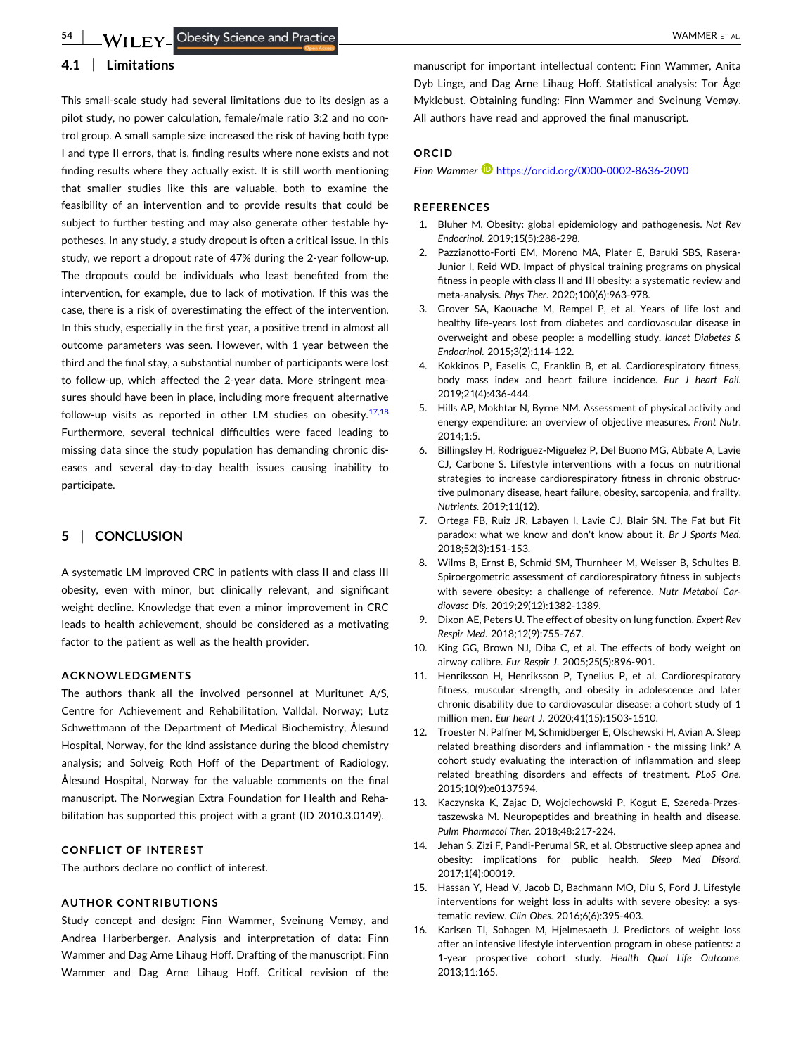## <span id="page-9-0"></span>**4.1** <sup>|</sup> **Limitations**

This small‐scale study had several limitations due to its design as a pilot study, no power calculation, female/male ratio 3:2 and no control group. A small sample size increased the risk of having both type I and type II errors, that is, finding results where none exists and not finding results where they actually exist. It is still worth mentioning that smaller studies like this are valuable, both to examine the feasibility of an intervention and to provide results that could be subject to further testing and may also generate other testable hypotheses. In any study, a study dropout is often a critical issue. In this study, we report a dropout rate of 47% during the 2‐year follow‐up. The dropouts could be individuals who least benefited from the intervention, for example, due to lack of motivation. If this was the case, there is a risk of overestimating the effect of the intervention. In this study, especially in the first year, a positive trend in almost all outcome parameters was seen. However, with 1 year between the third and the final stay, a substantial number of participants were lost to follow‐up, which affected the 2‐year data. More stringent measures should have been in place, including more frequent alternative follow-up visits as reported in other LM studies on obesity. $17,18$ Furthermore, several technical difficulties were faced leading to missing data since the study population has demanding chronic diseases and several day-to-day health issues causing inability to participate.

## **5** <sup>|</sup> **CONCLUSION**

A systematic LM improved CRC in patients with class II and class III obesity, even with minor, but clinically relevant, and significant weight decline. Knowledge that even a minor improvement in CRC leads to health achievement, should be considered as a motivating factor to the patient as well as the health provider.

#### **ACKNOWLEDGMENTS**

The authors thank all the involved personnel at Muritunet A/S, Centre for Achievement and Rehabilitation, Valldal, Norway; Lutz Schwettmann of the Department of Medical Biochemistry, Ålesund Hospital, Norway, for the kind assistance during the blood chemistry analysis; and Solveig Roth Hoff of the Department of Radiology, Ålesund Hospital, Norway for the valuable comments on the final manuscript. The Norwegian Extra Foundation for Health and Rehabilitation has supported this project with a grant (ID 2010.3.0149).

## **CONFLICT OF INTEREST**

The authors declare no conflict of interest.

#### **AUTHOR CONTRIBUTIONS**

Study concept and design: Finn Wammer, Sveinung Vemøy, and Andrea Harberberger. Analysis and interpretation of data: Finn Wammer and Dag Arne Lihaug Hoff. Drafting of the manuscript: Finn Wammer and Dag Arne Lihaug Hoff. Critical revision of the

manuscript for important intellectual content: Finn Wammer, Anita Dyb Linge, and Dag Arne Lihaug Hoff. Statistical analysis: Tor Åge Myklebust. Obtaining funding: Finn Wammer and Sveinung Vemøy. All authors have read and approved the final manuscript.

## **ORCID**

*Finn Wammer* <https://orcid.org/0000-0002-8636-2090>

#### **REFERENCES**

- 1. Bluher M. Obesity: global epidemiology and pathogenesis. *Nat Rev Endocrinol*. 2019;15(5):288‐298.
- 2. Pazzianotto‐Forti EM, Moreno MA, Plater E, Baruki SBS, Rasera‐ Junior I, Reid WD. Impact of physical training programs on physical fitness in people with class II and III obesity: a systematic review and meta‐analysis. *Phys Ther*. 2020;100(6):963‐978.
- 3. Grover SA, Kaouache M, Rempel P, et al. Years of life lost and healthy life‐years lost from diabetes and cardiovascular disease in overweight and obese people: a modelling study. *lancet Diabetes & Endocrinol*. 2015;3(2):114‐122.
- 4. Kokkinos P, Faselis C, Franklin B, et al. Cardiorespiratory fitness, body mass index and heart failure incidence. *Eur J heart Fail*. 2019;21(4):436‐444.
- 5. Hills AP, Mokhtar N, Byrne NM. Assessment of physical activity and energy expenditure: an overview of objective measures. *Front Nutr*. 2014;1:5.
- 6. Billingsley H, Rodriguez‐Miguelez P, Del Buono MG, Abbate A, Lavie CJ, Carbone S. Lifestyle interventions with a focus on nutritional strategies to increase cardiorespiratory fitness in chronic obstructive pulmonary disease, heart failure, obesity, sarcopenia, and frailty. *Nutrients*. 2019;11(12).
- 7. Ortega FB, Ruiz JR, Labayen I, Lavie CJ, Blair SN. The Fat but Fit paradox: what we know and don't know about it. *Br J Sports Med*. 2018;52(3):151‐153.
- 8. Wilms B, Ernst B, Schmid SM, Thurnheer M, Weisser B, Schultes B. Spiroergometric assessment of cardiorespiratory fitness in subjects with severe obesity: a challenge of reference. *Nutr Metabol Cardiovasc Dis*. 2019;29(12):1382‐1389.
- 9. Dixon AE, Peters U. The effect of obesity on lung function. *Expert Rev Respir Med*. 2018;12(9):755‐767.
- 10. King GG, Brown NJ, Diba C, et al. The effects of body weight on airway calibre. *Eur Respir J*. 2005;25(5):896‐901.
- 11. Henriksson H, Henriksson P, Tynelius P, et al. Cardiorespiratory fitness, muscular strength, and obesity in adolescence and later chronic disability due to cardiovascular disease: a cohort study of 1 million men. *Eur heart J*. 2020;41(15):1503‐1510.
- 12. Troester N, Palfner M, Schmidberger E, Olschewski H, Avian A. Sleep related breathing disorders and inflammation ‐ the missing link? A cohort study evaluating the interaction of inflammation and sleep related breathing disorders and effects of treatment. *PLoS One*. 2015;10(9):e0137594.
- 13. Kaczynska K, Zajac D, Wojciechowski P, Kogut E, Szereda‐Przestaszewska M. Neuropeptides and breathing in health and disease. *Pulm Pharmacol Ther*. 2018;48:217‐224.
- 14. Jehan S, Zizi F, Pandi‐Perumal SR, et al. Obstructive sleep apnea and obesity: implications for public health. *Sleep Med Disord*. 2017;1(4):00019.
- 15. Hassan Y, Head V, Jacob D, Bachmann MO, Diu S, Ford J. Lifestyle interventions for weight loss in adults with severe obesity: a systematic review. *Clin Obes*. 2016;6(6):395‐403.
- 16. Karlsen TI, Sohagen M, Hjelmesaeth J. Predictors of weight loss after an intensive lifestyle intervention program in obese patients: a 1‐year prospective cohort study. *Health Qual Life Outcome*. 2013;11:165.